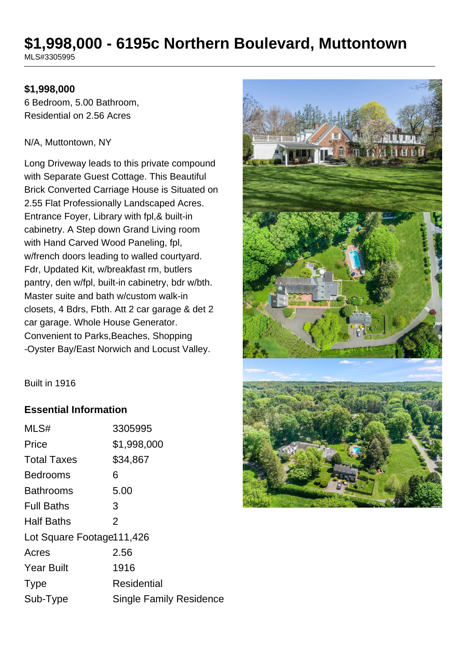# **\$1,998,000 - 6195c Northern Boulevard, Muttontown** MLS#3305995

## **\$1,998,000**

6 Bedroom, 5.00 Bathroom, Residential on 2.56 Acres

#### N/A, Muttontown, NY

Long Driveway leads to this private compound with Separate Guest Cottage. This Beautiful Brick Converted Carriage House is Situated on 2.55 Flat Professionally Landscaped Acres. Entrance Foyer, Library with fpl,& built-in cabinetry. A Step down Grand Living room with Hand Carved Wood Paneling, fpl, w/french doors leading to walled courtyard. Fdr, Updated Kit, w/breakfast rm, butlers pantry, den w/fpl, built-in cabinetry, bdr w/bth. Master suite and bath w/custom walk-in closets, 4 Bdrs, Fbth. Att 2 car garage & det 2 car garage. Whole House Generator. Convenient to Parks,Beaches, Shopping -Oyster Bay/East Norwich and Locust Valley.



Built in 1916

## **Essential Information**

| MLS#                      | 3305995                        |
|---------------------------|--------------------------------|
| Price                     | \$1,998,000                    |
| <b>Total Taxes</b>        | \$34,867                       |
| <b>Bedrooms</b>           | 6                              |
| Bathrooms                 | 5.00                           |
| <b>Full Baths</b>         | 3                              |
| <b>Half Baths</b>         | $\overline{2}$                 |
| Lot Square Footage111,426 |                                |
| Acres                     | 2.56                           |
| <b>Year Built</b>         | 1916                           |
| <b>Type</b>               | Residential                    |
| Sub-Type                  | <b>Single Family Residence</b> |
|                           |                                |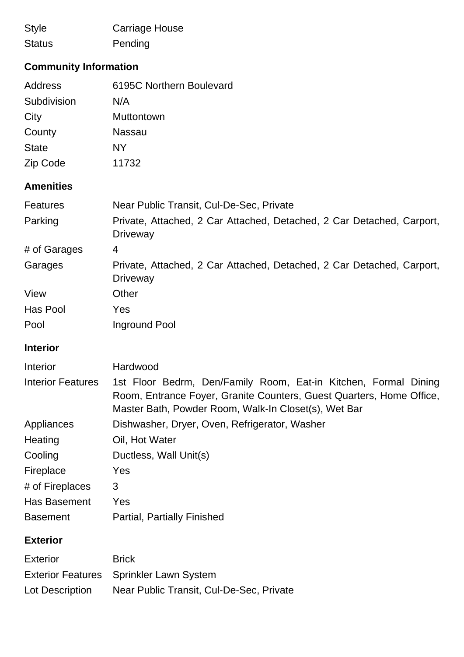| <b>Style</b>  | <b>Carriage House</b> |
|---------------|-----------------------|
| <b>Status</b> | Pending               |

# **Community Information**

| Address      | 6195C Northern Boulevard |
|--------------|--------------------------|
| Subdivision  | N/A                      |
| City         | <b>Muttontown</b>        |
| County       | Nassau                   |
| <b>State</b> | <b>NY</b>                |
| Zip Code     | 11732                    |

# **Amenities**

| <b>Features</b> | Near Public Transit, Cul-De-Sec, Private                                                 |
|-----------------|------------------------------------------------------------------------------------------|
| Parking         | Private, Attached, 2 Car Attached, Detached, 2 Car Detached, Carport,<br>Driveway        |
| # of Garages    | 4                                                                                        |
| Garages         | Private, Attached, 2 Car Attached, Detached, 2 Car Detached, Carport,<br><b>Driveway</b> |
| View            | Other                                                                                    |
| Has Pool        | Yes                                                                                      |
| Pool            | Inground Pool                                                                            |

# **Interior**

| <b>Interior</b>          | Hardwood                                                                                                                                                                                        |  |
|--------------------------|-------------------------------------------------------------------------------------------------------------------------------------------------------------------------------------------------|--|
| <b>Interior Features</b> | 1st Floor Bedrm, Den/Family Room, Eat-in Kitchen, Formal Dining<br>Room, Entrance Foyer, Granite Counters, Guest Quarters, Home Office,<br>Master Bath, Powder Room, Walk-In Closet(s), Wet Bar |  |
| Appliances               | Dishwasher, Dryer, Oven, Refrigerator, Washer                                                                                                                                                   |  |
| Heating                  | Oil, Hot Water                                                                                                                                                                                  |  |
| Cooling                  | Ductless, Wall Unit(s)                                                                                                                                                                          |  |
| Fireplace                | <b>Yes</b>                                                                                                                                                                                      |  |
| # of Fireplaces          | 3                                                                                                                                                                                               |  |
| <b>Has Basement</b>      | <b>Yes</b>                                                                                                                                                                                      |  |
| <b>Basement</b>          | <b>Partial, Partially Finished</b>                                                                                                                                                              |  |
| <b>Exterior</b>          |                                                                                                                                                                                                 |  |
| <b>Exterior</b>          | <b>Brick</b>                                                                                                                                                                                    |  |

|                 | Exterior Features Sprinkler Lawn System  |
|-----------------|------------------------------------------|
| Lot Description | Near Public Transit, Cul-De-Sec, Private |